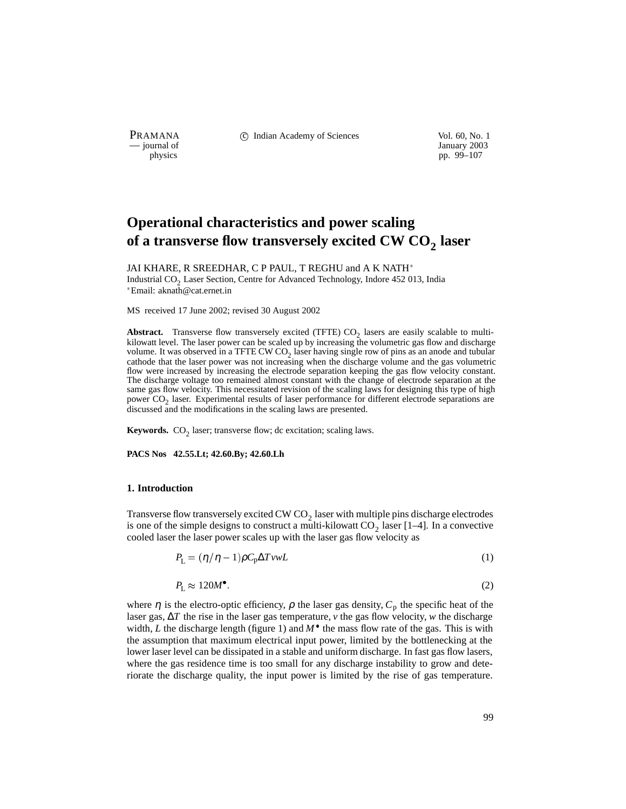PRAMANA 
<sup>c</sup> Indian Academy of Sciences Vol. 60, No. 1 Units Use Vol. 60, No. 1 Units Vol. 60, No. 1 Units Vol. 60, No. 1 Units Vol. 60, No. 1 Units Vol. 60, No. 1 Units Vol. 60, No. 1 Units Vol. 60, No. 1 Units Vol. 60, N

purnal of January 2003<br>
physics property and the property of  $\mu$  January 2003<br>
pp. 99–107 pp. 99–107

# **Operational characteristics and power scaling** of a transverse flow transversely excited CW CO<sub>2</sub> laser

JAI KHARE, R SREEDHAR, C P PAUL, T REGHU and A K NATH Industrial CO<sub>2</sub> Laser Section, Centre for Advanced Technology, Indore 452 013, India Email: aknath@cat.ernet.in

MS received 17 June 2002; revised 30 August 2002

**Abstract.** Transverse flow transversely excited (TFTE)  $CO<sub>2</sub>$  lasers are easily scalable to multikilowatt level. The laser power can be scaled up by increasing the volumetric gas flow and discharge volume. It was observed in a TFTE CW  $CO<sub>2</sub>$  laser having single row of pins as an anode and tubular cathode that the laser power was not increasing when the discharge volume and the gas volumetric flow were increased by increasing the electrode separation keeping the gas flow velocity constant. The discharge voltage too remained almost constant with the change of electrode separation at the same gas flow velocity. This necessitated revision of the scaling laws for designing this type of high power  $CO<sub>2</sub>$  laser. Experimental results of laser performance for different electrode separations are discussed and the modifications in the scaling laws are presented.

**Keywords.**  $CO<sub>2</sub>$  laser; transverse flow; dc excitation; scaling laws.

#### **PACS Nos 42.55.Lt; 42.60.By; 42.60.Lh**

#### **1. Introduction**

Transverse flow transversely excited CW  $CO<sub>2</sub>$  laser with multiple pins discharge electrodes is one of the simple designs to construct a multi-kilowatt  $CO_2$  laser [1–4]. In a convective cooled laser the laser power scales up with the laser gas flow velocity as

$$
P_{\rm L} = (\eta / \eta - 1) \rho C_{\rm p} \Delta T v w L \tag{1}
$$

$$
P_{\rm L} \approx 120M^{\bullet} \tag{2}
$$

where  $\eta$  is the electro-optic efficiency,  $\rho$  the laser gas density,  $C_p$  the specific heat of the laser gas, ∆*T* the rise in the laser gas temperature, *v* the gas flow velocity, *w* the discharge width, *L* the discharge length (figure 1) and  $M^{\bullet}$  the mass flow rate of the gas. This is with the assumption that maximum electrical input power, limited by the bottlenecking at the lower laser level can be dissipated in a stable and uniform discharge. In fast gas flow lasers, where the gas residence time is too small for any discharge instability to grow and deteriorate the discharge quality, the input power is limited by the rise of gas temperature.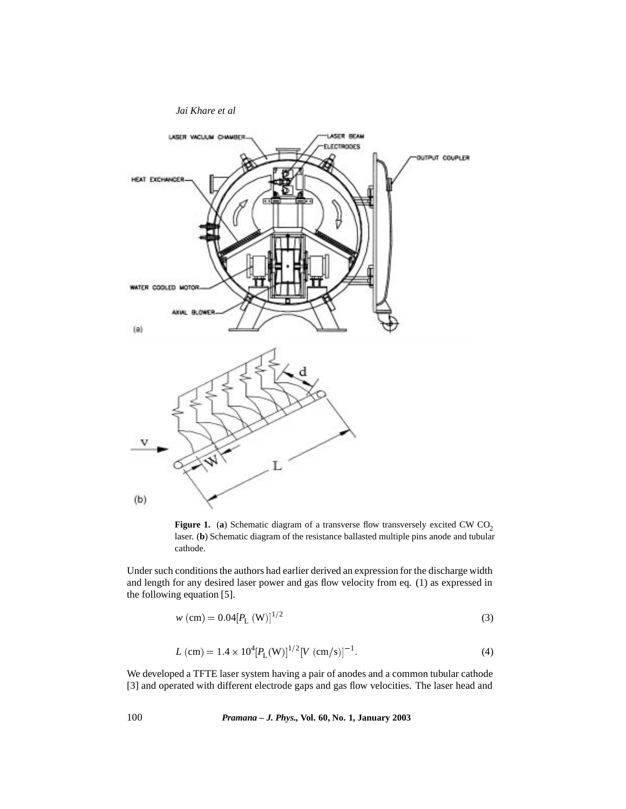

**Figure 1.** (a) Schematic diagram of a transverse flow transversely excited CW  $CO<sub>2</sub>$ laser. (**b**) Schematic diagram of the resistance ballasted multiple pins anode and tubular cathode.

Under such conditions the authors had earlier derived an expression for the discharge width and length for any desired laser power and gas flow velocity from eq. (1) as expressed in the following equation [5].

$$
w \text{ (cm)} = 0.04 [P_{\text{L}} \text{ (W)}]^{1/2} \tag{3}
$$

$$
L\text{ (cm)} = 1.4 \times 10^4 [P_L(W)]^{1/2} [V \text{ (cm/s)}]^{-1}.
$$
 (4)

We developed a TFTE laser system having a pair of anodes and a common tubular cathode [3] and operated with different electrode gaps and gas flow velocities. The laser head and

100 *Pramana – J. Phys.,* **Vol. 60, No. 1, January 2003**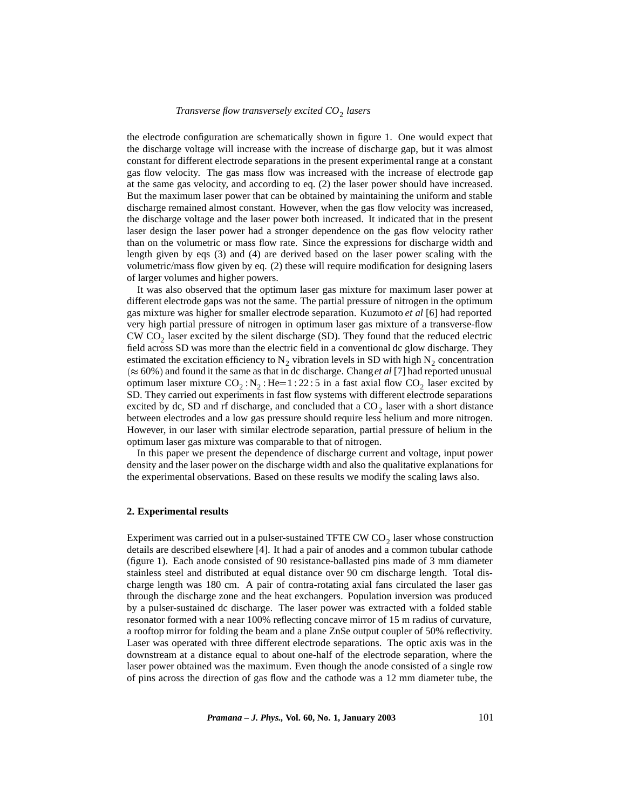# *Transverse flow transversely excited CO*<sup>2</sup> *lasers*

the electrode configuration are schematically shown in figure 1. One would expect that the discharge voltage will increase with the increase of discharge gap, but it was almost constant for different electrode separations in the present experimental range at a constant gas flow velocity. The gas mass flow was increased with the increase of electrode gap at the same gas velocity, and according to eq. (2) the laser power should have increased. But the maximum laser power that can be obtained by maintaining the uniform and stable discharge remained almost constant. However, when the gas flow velocity was increased, the discharge voltage and the laser power both increased. It indicated that in the present laser design the laser power had a stronger dependence on the gas flow velocity rather than on the volumetric or mass flow rate. Since the expressions for discharge width and length given by eqs (3) and (4) are derived based on the laser power scaling with the volumetric/mass flow given by eq. (2) these will require modification for designing lasers of larger volumes and higher powers.

It was also observed that the optimum laser gas mixture for maximum laser power at different electrode gaps was not the same. The partial pressure of nitrogen in the optimum gas mixture was higher for smaller electrode separation. Kuzumoto *et al* [6] had reported very high partial pressure of nitrogen in optimum laser gas mixture of a transverse-flow  $CW CO<sub>2</sub>$  laser excited by the silent discharge (SD). They found that the reduced electric field across SD was more than the electric field in a conventional dc glow discharge. They estimated the excitation efficiency to  $N_2$  vibration levels in SD with high  $N_2$  concentration  $(\approx 60\%)$  and found it the same as that in dc discharge. Chang *et al* [7] had reported unusual optimum laser mixture  $CO_2 : N_2 : He=1 : 22 : 5$  in a fast axial flow  $CO_2$  laser excited by SD. They carried out experiments in fast flow systems with different electrode separations excited by dc, SD and rf discharge, and concluded that a  $CO<sub>2</sub>$  laser with a short distance between electrodes and a low gas pressure should require less helium and more nitrogen. However, in our laser with similar electrode separation, partial pressure of helium in the optimum laser gas mixture was comparable to that of nitrogen.

In this paper we present the dependence of discharge current and voltage, input power density and the laser power on the discharge width and also the qualitative explanations for the experimental observations. Based on these results we modify the scaling laws also.

#### **2. Experimental results**

Experiment was carried out in a pulser-sustained TFTE CW  $CO<sub>2</sub>$  laser whose construction details are described elsewhere [4]. It had a pair of anodes and a common tubular cathode (figure 1). Each anode consisted of 90 resistance-ballasted pins made of 3 mm diameter stainless steel and distributed at equal distance over 90 cm discharge length. Total discharge length was 180 cm. A pair of contra-rotating axial fans circulated the laser gas through the discharge zone and the heat exchangers. Population inversion was produced by a pulser-sustained dc discharge. The laser power was extracted with a folded stable resonator formed with a near 100% reflecting concave mirror of 15 m radius of curvature, a rooftop mirror for folding the beam and a plane ZnSe output coupler of 50% reflectivity. Laser was operated with three different electrode separations. The optic axis was in the downstream at a distance equal to about one-half of the electrode separation, where the laser power obtained was the maximum. Even though the anode consisted of a single row of pins across the direction of gas flow and the cathode was a 12 mm diameter tube, the

*Pramana – J. Phys.,* **Vol. 60, No. 1, January 2003** 101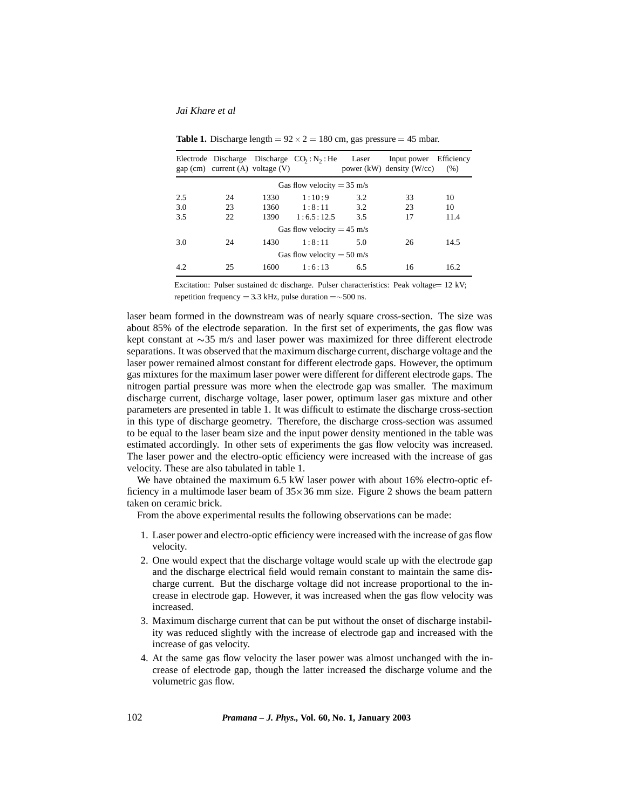### *Jai Khare et al*

|                                      | gap (cm) current (A) voltage (V) |      | Electrode Discharge Discharge $CO_2 : N_2 : He$ | Laser | Input power<br>power $(kW)$ density $(W/cc)$ | Efficiency<br>(% ) |
|--------------------------------------|----------------------------------|------|-------------------------------------------------|-------|----------------------------------------------|--------------------|
| Gas flow velocity = $35 \text{ m/s}$ |                                  |      |                                                 |       |                                              |                    |
| 2.5                                  | 24                               | 1330 | 1:10:9                                          | 3.2   | 33                                           | 10                 |
| 3.0                                  | 23                               | 1360 | 1:8:11                                          | 3.2   | 23                                           | 10                 |
| 3.5                                  | 22                               | 1390 | 1:6.5:12.5                                      | 3.5   | 17                                           | 11.4               |
| Gas flow velocity = $45 \text{ m/s}$ |                                  |      |                                                 |       |                                              |                    |
| 3.0                                  | 24                               | 1430 | 1:8:11                                          | 5.0   | 26                                           | 14.5               |
| Gas flow velocity = $50 \text{ m/s}$ |                                  |      |                                                 |       |                                              |                    |
| 4.2                                  | 25                               | 1600 | 1:6:13                                          | 6.5   | 16                                           | 16.2               |

**Table 1.** Discharge length  $= 92 \times 2 = 180$  cm, gas pressure  $= 45$  mbar.

Excitation: Pulser sustained dc discharge. Pulser characteristics: Peak voltage= 12 kV; repetition frequency = 3.3 kHz, pulse duration = $\sim$ 500 ns.

laser beam formed in the downstream was of nearly square cross-section. The size was about 85% of the electrode separation. In the first set of experiments, the gas flow was kept constant at  $\sim$ 35 m/s and laser power was maximized for three different electrode separations. It was observed that the maximum discharge current, discharge voltage and the laser power remained almost constant for different electrode gaps. However, the optimum gas mixtures for the maximum laser power were different for different electrode gaps. The nitrogen partial pressure was more when the electrode gap was smaller. The maximum discharge current, discharge voltage, laser power, optimum laser gas mixture and other parameters are presented in table 1. It was difficult to estimate the discharge cross-section in this type of discharge geometry. Therefore, the discharge cross-section was assumed to be equal to the laser beam size and the input power density mentioned in the table was estimated accordingly. In other sets of experiments the gas flow velocity was increased. The laser power and the electro-optic efficiency were increased with the increase of gas velocity. These are also tabulated in table 1.

We have obtained the maximum 6.5 kW laser power with about 16% electro-optic efficiency in a multimode laser beam of  $35 \times 36$  mm size. Figure 2 shows the beam pattern taken on ceramic brick.

From the above experimental results the following observations can be made:

- 1. Laser power and electro-optic efficiency were increased with the increase of gas flow velocity.
- 2. One would expect that the discharge voltage would scale up with the electrode gap and the discharge electrical field would remain constant to maintain the same discharge current. But the discharge voltage did not increase proportional to the increase in electrode gap. However, it was increased when the gas flow velocity was increased.
- 3. Maximum discharge current that can be put without the onset of discharge instability was reduced slightly with the increase of electrode gap and increased with the increase of gas velocity.
- 4. At the same gas flow velocity the laser power was almost unchanged with the increase of electrode gap, though the latter increased the discharge volume and the volumetric gas flow.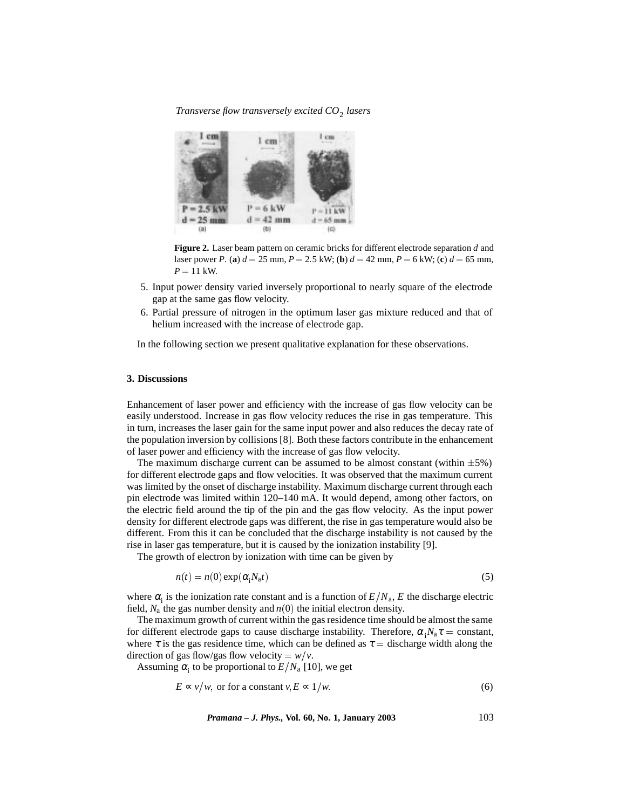# *Transverse flow transversely excited CO*<sup>2</sup> *lasers*



**Figure 2.** Laser beam pattern on ceramic bricks for different electrode separation *d* and laser power *P*. (a)  $d = 25$  mm,  $P = 2.5$  kW; (b)  $d = 42$  mm,  $P = 6$  kW; (c)  $d = 65$  mm,  $P = 11$  kW.

- 5. Input power density varied inversely proportional to nearly square of the electrode gap at the same gas flow velocity.
- 6. Partial pressure of nitrogen in the optimum laser gas mixture reduced and that of helium increased with the increase of electrode gap.

In the following section we present qualitative explanation for these observations.

#### **3. Discussions**

Enhancement of laser power and efficiency with the increase of gas flow velocity can be easily understood. Increase in gas flow velocity reduces the rise in gas temperature. This in turn, increases the laser gain for the same input power and also reduces the decay rate of the population inversion by collisions [8]. Both these factors contribute in the enhancement of laser power and efficiency with the increase of gas flow velocity.

The maximum discharge current can be assumed to be almost constant (within  $\pm 5\%$ ) for different electrode gaps and flow velocities. It was observed that the maximum current was limited by the onset of discharge instability. Maximum discharge current through each pin electrode was limited within 120–140 mA. It would depend, among other factors, on the electric field around the tip of the pin and the gas flow velocity. As the input power density for different electrode gaps was different, the rise in gas temperature would also be different. From this it can be concluded that the discharge instability is not caused by the rise in laser gas temperature, but it is caused by the ionization instability [9].

The growth of electron by ionization with time can be given by

$$
n(t) = n(0) \exp(\alpha_{i} N_{a} t)
$$
\n<sup>(5)</sup>

where  $\alpha_i$  is the ionization rate constant and is a function of  $E/N_a$ , *E* the discharge electric field,  $N_a$  the gas number density and  $n(0)$  the initial electron density.

The maximum growth of current within the gas residence time should be almost the same for different electrode gaps to cause discharge instability. Therefore,  $\alpha_i N_a \tau = \text{constant}$ , where  $\tau$  is the gas residence time, which can be defined as  $\tau$  = discharge width along the direction of gas flow/gas flow velocity =  $w/v$ .

Assuming  $\alpha_i$  to be proportional to  $E/N_a$  [10], we get

$$
E \propto v/w, \text{ or for a constant } v, E \propto 1/w. \tag{6}
$$

*Pramana – J. Phys.,* **Vol. 60, No. 1, January 2003** 103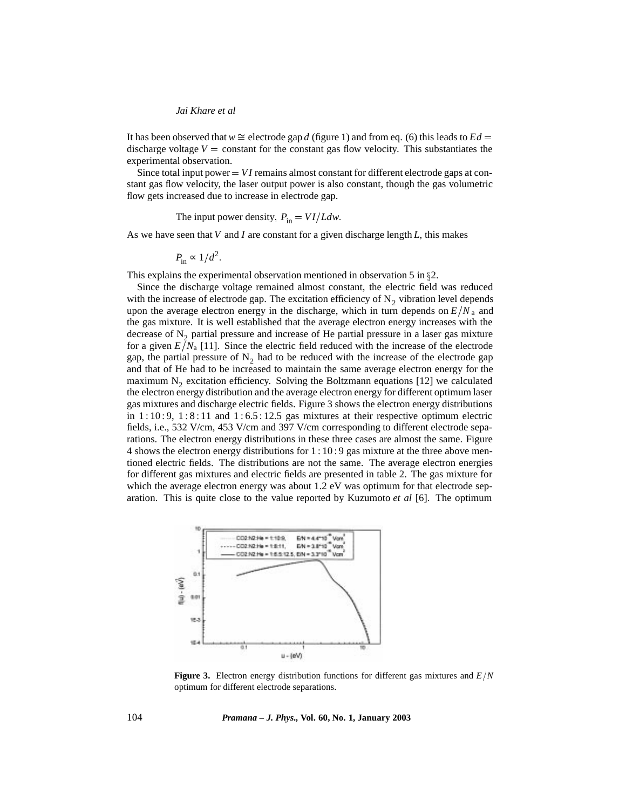### *Jai Khare et al*

It has been observed that  $w \cong$  electrode gap *d* (figure 1) and from eq. (6) this leads to  $Ed =$ discharge voltage  $V =$  constant for the constant gas flow velocity. This substantiates the experimental observation.

Since total input power  $= VI$  remains almost constant for different electrode gaps at constant gas flow velocity, the laser output power is also constant, though the gas volumetric flow gets increased due to increase in electrode gap.

The input power density,  $P_{\text{in}} = VI/Ldw$ .

As we have seen that *V* and *I* are constant for a given discharge length *L*, this makes

$$
P_{\rm in} \sim 1/d^2.
$$

This explains the experimental observation mentioned in observation 5 in  $\S2$ .

Since the discharge voltage remained almost constant, the electric field was reduced with the increase of electrode gap. The excitation efficiency of  $N<sub>2</sub>$  vibration level depends upon the average electron energy in the discharge, which in turn depends on  $E/N_a$  and the gas mixture. It is well established that the average electron energy increases with the decrease of  $N<sub>2</sub>$  partial pressure and increase of He partial pressure in a laser gas mixture for a given  $E/N_a$  [11]. Since the electric field reduced with the increase of the electrode gap, the partial pressure of  $N<sub>2</sub>$  had to be reduced with the increase of the electrode gap and that of He had to be increased to maintain the same average electron energy for the maximum  $N_2$  excitation efficiency. Solving the Boltzmann equations [12] we calculated the electron energy distribution and the average electron energy for different optimum laser gas mixtures and discharge electric fields. Figure 3 shows the electron energy distributions in  $1:10:9$ ,  $1:8:11$  and  $1:6.5:12.5$  gas mixtures at their respective optimum electric fields, i.e., 532 V/cm, 453 V/cm and 397 V/cm corresponding to different electrode separations. The electron energy distributions in these three cases are almost the same. Figure 4 shows the electron energy distributions for 1 : 10 : 9 gas mixture at the three above mentioned electric fields. The distributions are not the same. The average electron energies for different gas mixtures and electric fields are presented in table 2. The gas mixture for which the average electron energy was about 1.2 eV was optimum for that electrode separation. This is quite close to the value reported by Kuzumoto *et al* [6]. The optimum



**Figure 3.** Electron energy distribution functions for different gas mixtures and  $E/N$ optimum for different electrode separations.

104 *Pramana – J. Phys.,* **Vol. 60, No. 1, January 2003**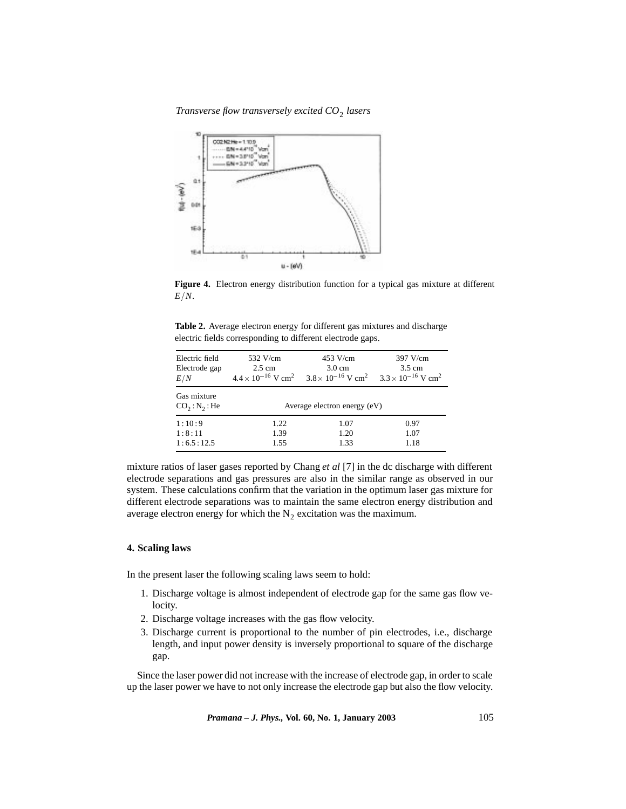*Transverse flow transversely excited CO*<sup>2</sup> *lasers*



**Figure 4.** Electron energy distribution function for a typical gas mixture at different  $E/N$ .

**Table 2.** Average electron energy for different gas mixtures and discharge electric fields corresponding to different electrode gaps.

| Electric field<br>Electrode gap<br>E/N               | 532 V/cm<br>$2.5 \text{ cm}$<br>$4.4 \times 10^{-16}$ V cm <sup>2</sup> | 453 V/cm<br>$3.0 \text{ cm}$<br>$3.8 \times 10^{-16}$ V cm <sup>2</sup> $3.3 \times 10^{-16}$ V cm <sup>2</sup> | $397$ V/cm<br>$3.5 \text{ cm}$ |  |  |  |
|------------------------------------------------------|-------------------------------------------------------------------------|-----------------------------------------------------------------------------------------------------------------|--------------------------------|--|--|--|
| Gas mixture<br>CO <sub>2</sub> : N <sub>2</sub> : He | Average electron energy (eV)                                            |                                                                                                                 |                                |  |  |  |
| 1:10:9<br>1:8:11<br>1:6.5:12.5                       | 1.22<br>1.39<br>1.55                                                    | 1.07<br>1.20<br>1.33                                                                                            | 0.97<br>1.07<br>1.18           |  |  |  |

mixture ratios of laser gases reported by Chang *et al* [7] in the dc discharge with different electrode separations and gas pressures are also in the similar range as observed in our system. These calculations confirm that the variation in the optimum laser gas mixture for different electrode separations was to maintain the same electron energy distribution and average electron energy for which the  $N_2$  excitation was the maximum.

# **4. Scaling laws**

In the present laser the following scaling laws seem to hold:

- 1. Discharge voltage is almost independent of electrode gap for the same gas flow velocity.
- 2. Discharge voltage increases with the gas flow velocity.
- 3. Discharge current is proportional to the number of pin electrodes, i.e., discharge length, and input power density is inversely proportional to square of the discharge gap.

Since the laser power did not increase with the increase of electrode gap, in order to scale up the laser power we have to not only increase the electrode gap but also the flow velocity.

*Pramana – J. Phys.,* **Vol. 60, No. 1, January 2003** 105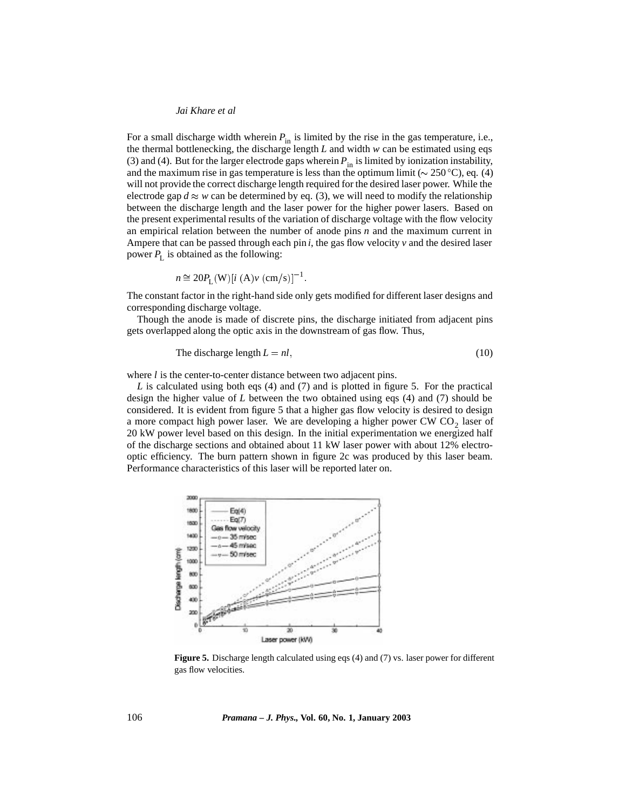### *Jai Khare et al*

For a small discharge width wherein  $P_{\text{in}}$  is limited by the rise in the gas temperature, i.e., the thermal bottlenecking, the discharge length *L* and width *w* can be estimated using eqs (3) and (4). But for the larger electrode gaps wherein  $P_{in}$  is limited by ionization instability, and the maximum rise in gas temperature is less than the optimum limit ( $\sim 250^{\circ}$ C), eq. (4) will not provide the correct discharge length required for the desired laser power. While the electrode gap  $d \approx w$  can be determined by eq. (3), we will need to modify the relationship between the discharge length and the laser power for the higher power lasers. Based on the present experimental results of the variation of discharge voltage with the flow velocity an empirical relation between the number of anode pins *n* and the maximum current in Ampere that can be passed through each pin  $i$ , the gas flow velocity  $v$  and the desired laser power  $P_L$  is obtained as the following:

$$
n \approx 20 P_{\rm L}(W) [i (A) v (cm/s)]^{-1}
$$
.

The constant factor in the right-hand side only gets modified for different laser designs and corresponding discharge voltage.

Though the anode is made of discrete pins, the discharge initiated from adjacent pins gets overlapped along the optic axis in the downstream of gas flow. Thus,

The discharge length 
$$
L = nl
$$
, (10)

where *l* is the center-to-center distance between two adjacent pins.

*L* is calculated using both eqs (4) and (7) and is plotted in figure 5. For the practical design the higher value of *L* between the two obtained using eqs (4) and (7) should be considered. It is evident from figure 5 that a higher gas flow velocity is desired to design a more compact high power laser. We are developing a higher power CW  $CO<sub>2</sub>$  laser of 20 kW power level based on this design. In the initial experimentation we energized half of the discharge sections and obtained about 11 kW laser power with about 12% electrooptic efficiency. The burn pattern shown in figure 2c was produced by this laser beam. Performance characteristics of this laser will be reported later on.



**Figure 5.** Discharge length calculated using eqs (4) and (7) vs. laser power for different gas flow velocities.

106 *Pramana – J. Phys.,* **Vol. 60, No. 1, January 2003**